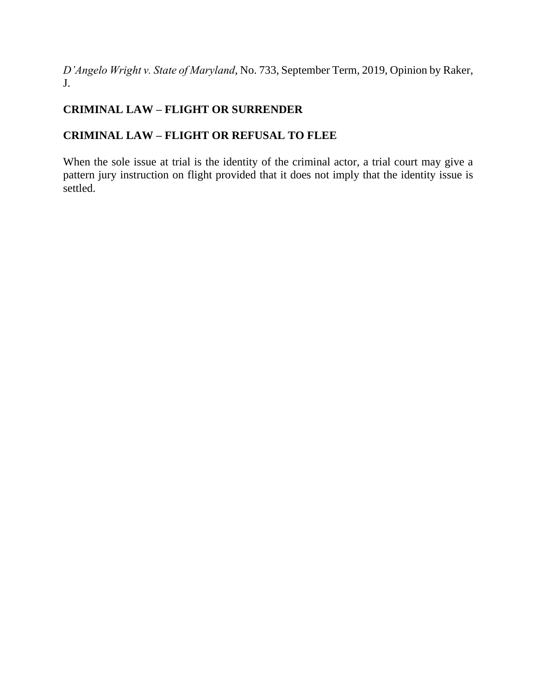*D'Angelo Wright v. State of Maryland*, No. 733, September Term, 2019, Opinion by Raker, J.

# **CRIMINAL LAW – FLIGHT OR SURRENDER**

# **CRIMINAL LAW – FLIGHT OR REFUSAL TO FLEE**

When the sole issue at trial is the identity of the criminal actor, a trial court may give a pattern jury instruction on flight provided that it does not imply that the identity issue is settled.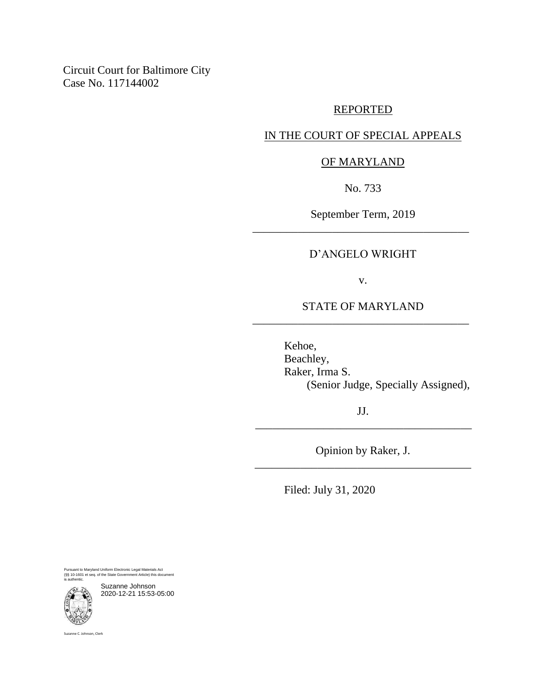Circuit Court for Baltimore City Case No. 117144002

### REPORTED

## IN THE COURT OF SPECIAL APPEALS

## OF MARYLAND

No. 733

September Term, 2019 \_\_\_\_\_\_\_\_\_\_\_\_\_\_\_\_\_\_\_\_\_\_\_\_\_\_\_\_\_\_\_\_\_\_\_\_\_\_

#### D'ANGELO WRIGHT

v.

## STATE OF MARYLAND \_\_\_\_\_\_\_\_\_\_\_\_\_\_\_\_\_\_\_\_\_\_\_\_\_\_\_\_\_\_\_\_\_\_\_\_\_\_

Kehoe, Beachley, Raker, Irma S. (Senior Judge, Specially Assigned),

JJ. \_\_\_\_\_\_\_\_\_\_\_\_\_\_\_\_\_\_\_\_\_\_\_\_\_\_\_\_\_\_\_\_\_\_\_\_\_\_

Opinion by Raker, J. \_\_\_\_\_\_\_\_\_\_\_\_\_\_\_\_\_\_\_\_\_\_\_\_\_\_\_\_\_\_\_\_\_\_\_\_\_\_

Filed: July 31, 2020

Pursuant to Maryland Uniform Electronic Legal Materials Act (§§ 10-1601 et seq. of the State Government Article) this document is authentic.



Suzanne Johnson 2020-12-21 15:53-05:00

Suzanne C. Johnson, Clerk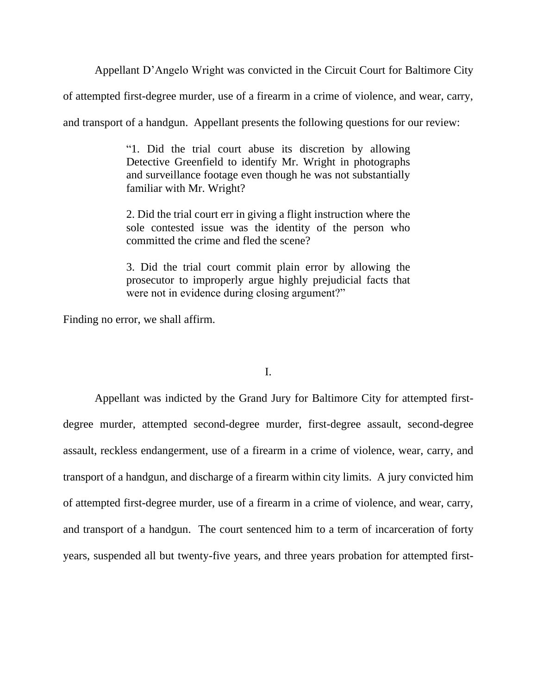Appellant D'Angelo Wright was convicted in the Circuit Court for Baltimore City

of attempted first-degree murder, use of a firearm in a crime of violence, and wear, carry,

and transport of a handgun. Appellant presents the following questions for our review:

"1. Did the trial court abuse its discretion by allowing Detective Greenfield to identify Mr. Wright in photographs and surveillance footage even though he was not substantially familiar with Mr. Wright?

2. Did the trial court err in giving a flight instruction where the sole contested issue was the identity of the person who committed the crime and fled the scene?

3. Did the trial court commit plain error by allowing the prosecutor to improperly argue highly prejudicial facts that were not in evidence during closing argument?"

Finding no error, we shall affirm.

### I.

Appellant was indicted by the Grand Jury for Baltimore City for attempted firstdegree murder, attempted second-degree murder, first-degree assault, second-degree assault, reckless endangerment, use of a firearm in a crime of violence, wear, carry, and transport of a handgun, and discharge of a firearm within city limits. A jury convicted him of attempted first-degree murder, use of a firearm in a crime of violence, and wear, carry, and transport of a handgun. The court sentenced him to a term of incarceration of forty years, suspended all but twenty-five years, and three years probation for attempted first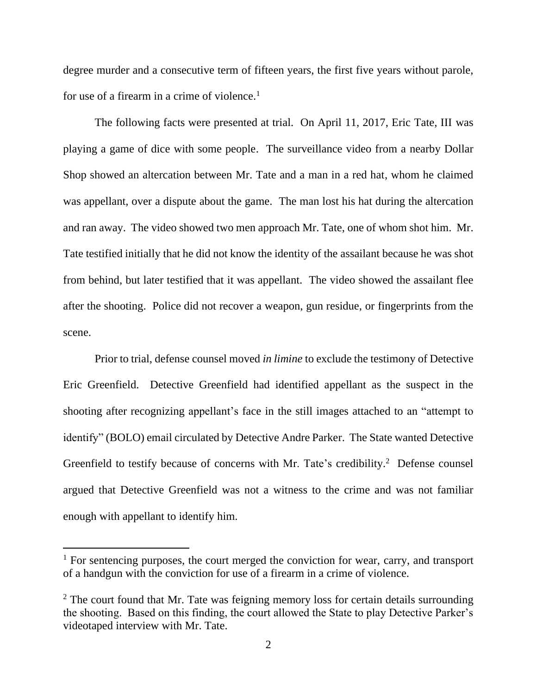degree murder and a consecutive term of fifteen years, the first five years without parole, for use of a firearm in a crime of violence. 1

The following facts were presented at trial. On April 11, 2017, Eric Tate, III was playing a game of dice with some people. The surveillance video from a nearby Dollar Shop showed an altercation between Mr. Tate and a man in a red hat, whom he claimed was appellant, over a dispute about the game. The man lost his hat during the altercation and ran away. The video showed two men approach Mr. Tate, one of whom shot him. Mr. Tate testified initially that he did not know the identity of the assailant because he was shot from behind, but later testified that it was appellant. The video showed the assailant flee after the shooting. Police did not recover a weapon, gun residue, or fingerprints from the scene.

Prior to trial, defense counsel moved *in limine* to exclude the testimony of Detective Eric Greenfield. Detective Greenfield had identified appellant as the suspect in the shooting after recognizing appellant's face in the still images attached to an "attempt to identify" (BOLO) email circulated by Detective Andre Parker. The State wanted Detective Greenfield to testify because of concerns with Mr. Tate's credibility.<sup>2</sup> Defense counsel argued that Detective Greenfield was not a witness to the crime and was not familiar enough with appellant to identify him.

 $1$  For sentencing purposes, the court merged the conviction for wear, carry, and transport of a handgun with the conviction for use of a firearm in a crime of violence.

 $2$  The court found that Mr. Tate was feigning memory loss for certain details surrounding the shooting. Based on this finding, the court allowed the State to play Detective Parker's videotaped interview with Mr. Tate.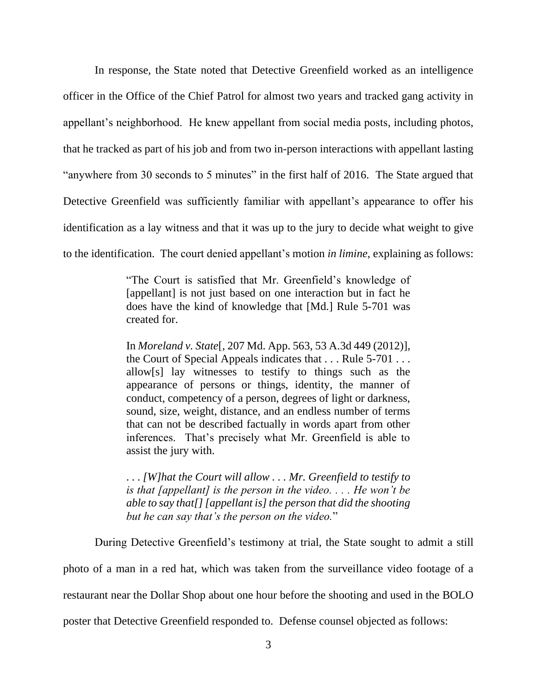In response, the State noted that Detective Greenfield worked as an intelligence officer in the Office of the Chief Patrol for almost two years and tracked gang activity in appellant's neighborhood. He knew appellant from social media posts, including photos, that he tracked as part of his job and from two in-person interactions with appellant lasting "anywhere from 30 seconds to 5 minutes" in the first half of 2016. The State argued that Detective Greenfield was sufficiently familiar with appellant's appearance to offer his identification as a lay witness and that it was up to the jury to decide what weight to give to the identification. The court denied appellant's motion *in limine*, explaining as follows:

> "The Court is satisfied that Mr. Greenfield's knowledge of [appellant] is not just based on one interaction but in fact he does have the kind of knowledge that [Md.] Rule 5-701 was created for.

> In *Moreland v. State*[, 207 Md. App. 563, 53 A.3d 449 (2012)], the Court of Special Appeals indicates that . . . Rule 5-701 . . . allow[s] lay witnesses to testify to things such as the appearance of persons or things, identity, the manner of conduct, competency of a person, degrees of light or darkness, sound, size, weight, distance, and an endless number of terms that can not be described factually in words apart from other inferences. That's precisely what Mr. Greenfield is able to assist the jury with.

> . . . *[W]hat the Court will allow . . . Mr. Greenfield to testify to is that [appellant] is the person in the video. . . . He won't be able to say that[] [appellant is] the person that did the shooting but he can say that's the person on the video.*"

During Detective Greenfield's testimony at trial, the State sought to admit a still

photo of a man in a red hat, which was taken from the surveillance video footage of a

restaurant near the Dollar Shop about one hour before the shooting and used in the BOLO

poster that Detective Greenfield responded to. Defense counsel objected as follows: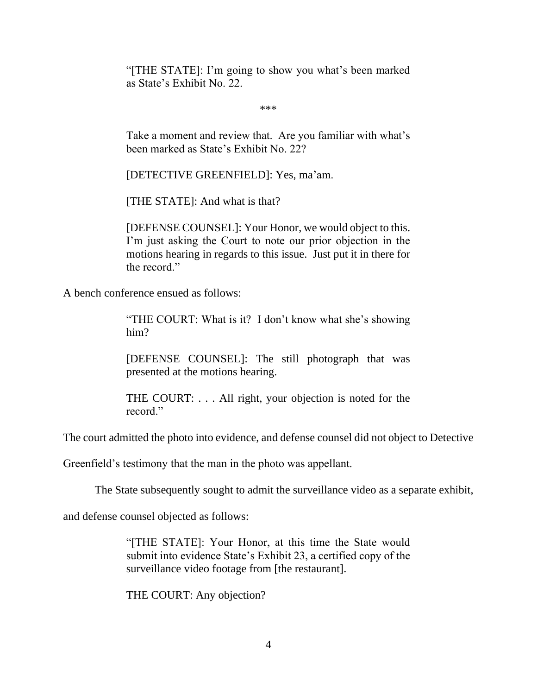"[THE STATE]: I'm going to show you what's been marked as State's Exhibit No. 22.

\*\*\*

Take a moment and review that. Are you familiar with what's been marked as State's Exhibit No. 22?

[DETECTIVE GREENFIELD]: Yes, ma'am.

[THE STATE]: And what is that?

[DEFENSE COUNSEL]: Your Honor, we would object to this. I'm just asking the Court to note our prior objection in the motions hearing in regards to this issue. Just put it in there for the record."

A bench conference ensued as follows:

"THE COURT: What is it? I don't know what she's showing him?

[DEFENSE COUNSEL]: The still photograph that was presented at the motions hearing.

THE COURT: . . . All right, your objection is noted for the record."

The court admitted the photo into evidence, and defense counsel did not object to Detective

Greenfield's testimony that the man in the photo was appellant.

The State subsequently sought to admit the surveillance video as a separate exhibit,

and defense counsel objected as follows:

"[THE STATE]: Your Honor, at this time the State would submit into evidence State's Exhibit 23, a certified copy of the surveillance video footage from [the restaurant].

THE COURT: Any objection?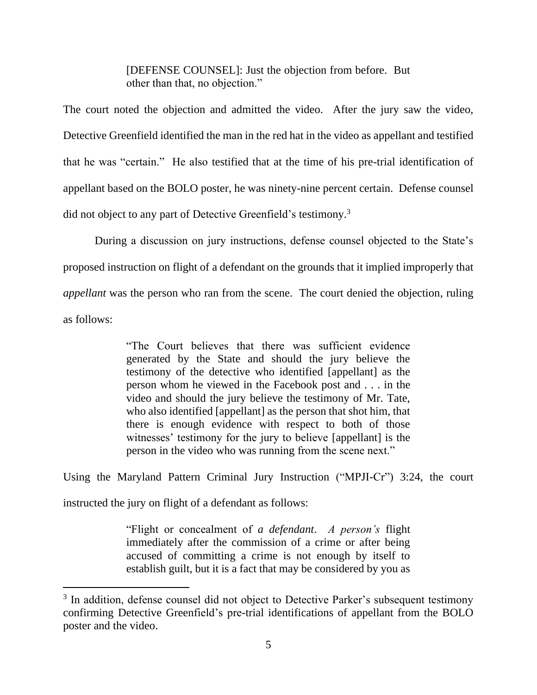[DEFENSE COUNSEL]: Just the objection from before. But other than that, no objection."

The court noted the objection and admitted the video. After the jury saw the video, Detective Greenfield identified the man in the red hat in the video as appellant and testified that he was "certain." He also testified that at the time of his pre-trial identification of appellant based on the BOLO poster, he was ninety-nine percent certain. Defense counsel did not object to any part of Detective Greenfield's testimony.<sup>3</sup>

During a discussion on jury instructions, defense counsel objected to the State's proposed instruction on flight of a defendant on the grounds that it implied improperly that *appellant* was the person who ran from the scene. The court denied the objection, ruling as follows:

> "The Court believes that there was sufficient evidence generated by the State and should the jury believe the testimony of the detective who identified [appellant] as the person whom he viewed in the Facebook post and . . . in the video and should the jury believe the testimony of Mr. Tate, who also identified [appellant] as the person that shot him, that there is enough evidence with respect to both of those witnesses' testimony for the jury to believe [appellant] is the person in the video who was running from the scene next."

Using the Maryland Pattern Criminal Jury Instruction ("MPJI-Cr") 3:24, the court instructed the jury on flight of a defendant as follows:

> "Flight or concealment of *a defendant*. *A person's* flight immediately after the commission of a crime or after being accused of committing a crime is not enough by itself to establish guilt, but it is a fact that may be considered by you as

<sup>&</sup>lt;sup>3</sup> In addition, defense counsel did not object to Detective Parker's subsequent testimony confirming Detective Greenfield's pre-trial identifications of appellant from the BOLO poster and the video.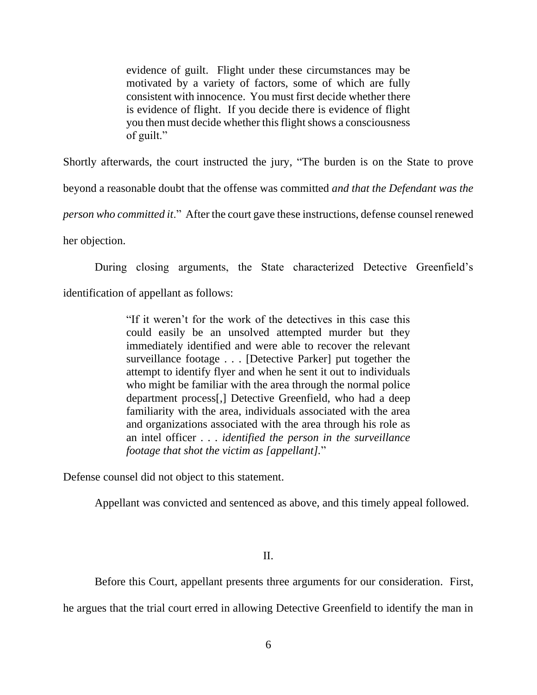evidence of guilt. Flight under these circumstances may be motivated by a variety of factors, some of which are fully consistent with innocence. You must first decide whether there is evidence of flight. If you decide there is evidence of flight you then must decide whether this flight shows a consciousness of guilt."

Shortly afterwards, the court instructed the jury, "The burden is on the State to prove

beyond a reasonable doubt that the offense was committed *and that the Defendant was the* 

*person who committed it*." After the court gave these instructions, defense counsel renewed

her objection.

During closing arguments, the State characterized Detective Greenfield's

identification of appellant as follows:

"If it weren't for the work of the detectives in this case this could easily be an unsolved attempted murder but they immediately identified and were able to recover the relevant surveillance footage . . . [Detective Parker] put together the attempt to identify flyer and when he sent it out to individuals who might be familiar with the area through the normal police department process[,] Detective Greenfield, who had a deep familiarity with the area, individuals associated with the area and organizations associated with the area through his role as an intel officer . . . *identified the person in the surveillance footage that shot the victim as [appellant].*"

Defense counsel did not object to this statement.

Appellant was convicted and sentenced as above, and this timely appeal followed.

II.

Before this Court, appellant presents three arguments for our consideration. First,

he argues that the trial court erred in allowing Detective Greenfield to identify the man in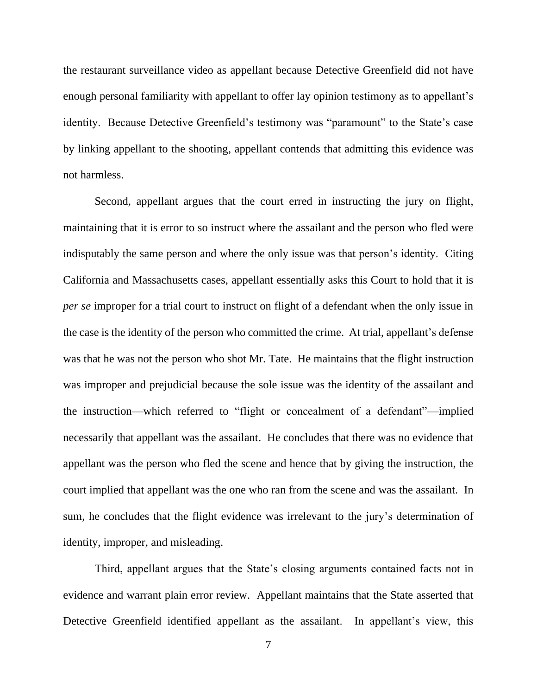the restaurant surveillance video as appellant because Detective Greenfield did not have enough personal familiarity with appellant to offer lay opinion testimony as to appellant's identity. Because Detective Greenfield's testimony was "paramount" to the State's case by linking appellant to the shooting, appellant contends that admitting this evidence was not harmless.

Second, appellant argues that the court erred in instructing the jury on flight, maintaining that it is error to so instruct where the assailant and the person who fled were indisputably the same person and where the only issue was that person's identity. Citing California and Massachusetts cases, appellant essentially asks this Court to hold that it is *per se* improper for a trial court to instruct on flight of a defendant when the only issue in the case is the identity of the person who committed the crime. At trial, appellant's defense was that he was not the person who shot Mr. Tate. He maintains that the flight instruction was improper and prejudicial because the sole issue was the identity of the assailant and the instruction—which referred to "flight or concealment of a defendant"—implied necessarily that appellant was the assailant. He concludes that there was no evidence that appellant was the person who fled the scene and hence that by giving the instruction, the court implied that appellant was the one who ran from the scene and was the assailant. In sum, he concludes that the flight evidence was irrelevant to the jury's determination of identity, improper, and misleading.

Third, appellant argues that the State's closing arguments contained facts not in evidence and warrant plain error review. Appellant maintains that the State asserted that Detective Greenfield identified appellant as the assailant. In appellant's view, this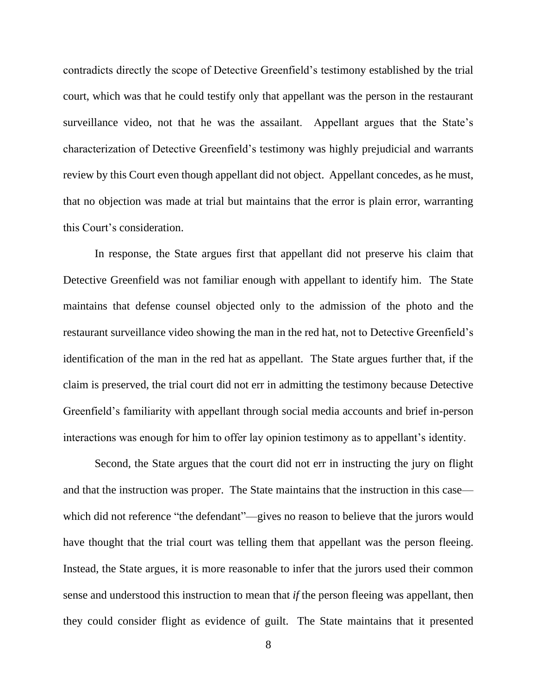contradicts directly the scope of Detective Greenfield's testimony established by the trial court, which was that he could testify only that appellant was the person in the restaurant surveillance video, not that he was the assailant. Appellant argues that the State's characterization of Detective Greenfield's testimony was highly prejudicial and warrants review by this Court even though appellant did not object. Appellant concedes, as he must, that no objection was made at trial but maintains that the error is plain error, warranting this Court's consideration.

In response, the State argues first that appellant did not preserve his claim that Detective Greenfield was not familiar enough with appellant to identify him. The State maintains that defense counsel objected only to the admission of the photo and the restaurant surveillance video showing the man in the red hat, not to Detective Greenfield's identification of the man in the red hat as appellant. The State argues further that, if the claim is preserved, the trial court did not err in admitting the testimony because Detective Greenfield's familiarity with appellant through social media accounts and brief in-person interactions was enough for him to offer lay opinion testimony as to appellant's identity.

Second, the State argues that the court did not err in instructing the jury on flight and that the instruction was proper. The State maintains that the instruction in this case which did not reference "the defendant"—gives no reason to believe that the jurors would have thought that the trial court was telling them that appellant was the person fleeing. Instead, the State argues, it is more reasonable to infer that the jurors used their common sense and understood this instruction to mean that *if* the person fleeing was appellant, then they could consider flight as evidence of guilt. The State maintains that it presented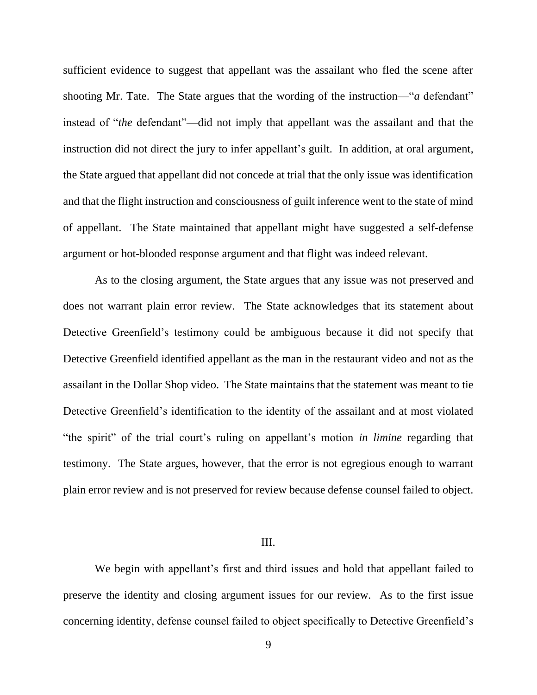sufficient evidence to suggest that appellant was the assailant who fled the scene after shooting Mr. Tate. The State argues that the wording of the instruction—"*a* defendant" instead of "*the* defendant"—did not imply that appellant was the assailant and that the instruction did not direct the jury to infer appellant's guilt. In addition, at oral argument, the State argued that appellant did not concede at trial that the only issue was identification and that the flight instruction and consciousness of guilt inference went to the state of mind of appellant. The State maintained that appellant might have suggested a self-defense argument or hot-blooded response argument and that flight was indeed relevant.

As to the closing argument, the State argues that any issue was not preserved and does not warrant plain error review. The State acknowledges that its statement about Detective Greenfield's testimony could be ambiguous because it did not specify that Detective Greenfield identified appellant as the man in the restaurant video and not as the assailant in the Dollar Shop video. The State maintains that the statement was meant to tie Detective Greenfield's identification to the identity of the assailant and at most violated "the spirit" of the trial court's ruling on appellant's motion *in limine* regarding that testimony. The State argues, however, that the error is not egregious enough to warrant plain error review and is not preserved for review because defense counsel failed to object.

### III.

We begin with appellant's first and third issues and hold that appellant failed to preserve the identity and closing argument issues for our review. As to the first issue concerning identity, defense counsel failed to object specifically to Detective Greenfield's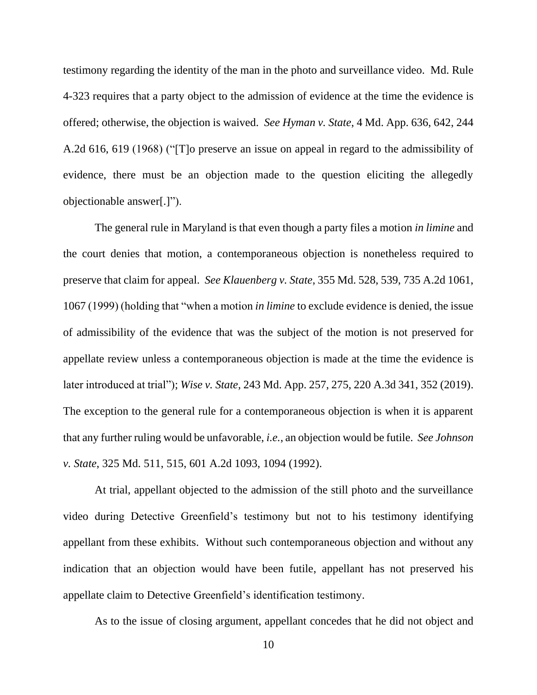testimony regarding the identity of the man in the photo and surveillance video. Md. Rule 4-323 requires that a party object to the admission of evidence at the time the evidence is offered; otherwise, the objection is waived. *See Hyman v. State*, 4 Md. App. 636, 642, 244 A.2d 616, 619 (1968) ("[T]o preserve an issue on appeal in regard to the admissibility of evidence, there must be an objection made to the question eliciting the allegedly objectionable answer[.]").

The general rule in Maryland is that even though a party files a motion *in limine* and the court denies that motion, a contemporaneous objection is nonetheless required to preserve that claim for appeal. *See Klauenberg v. State*, 355 Md. 528, 539, 735 A.2d 1061, 1067 (1999) (holding that "when a motion *in limine* to exclude evidence is denied, the issue of admissibility of the evidence that was the subject of the motion is not preserved for appellate review unless a contemporaneous objection is made at the time the evidence is later introduced at trial"); *Wise v. State*, 243 Md. App. 257, 275, 220 A.3d 341, 352 (2019). The exception to the general rule for a contemporaneous objection is when it is apparent that any further ruling would be unfavorable, *i.e.*, an objection would be futile. *See Johnson v. State*, 325 Md. 511, 515, 601 A.2d 1093, 1094 (1992).

At trial, appellant objected to the admission of the still photo and the surveillance video during Detective Greenfield's testimony but not to his testimony identifying appellant from these exhibits. Without such contemporaneous objection and without any indication that an objection would have been futile, appellant has not preserved his appellate claim to Detective Greenfield's identification testimony.

As to the issue of closing argument, appellant concedes that he did not object and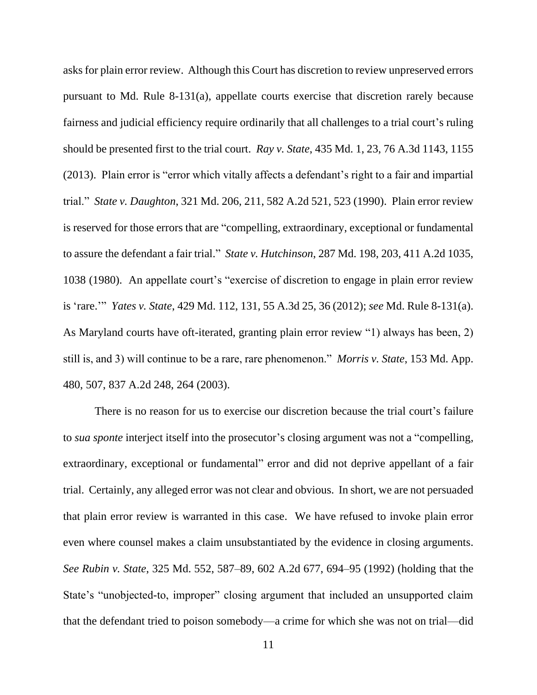asks for plain error review. Although this Court has discretion to review unpreserved errors pursuant to Md. Rule 8-131(a), appellate courts exercise that discretion rarely because fairness and judicial efficiency require ordinarily that all challenges to a trial court's ruling should be presented first to the trial court. *Ray v. State*, 435 Md. 1, 23, 76 A.3d 1143, 1155 (2013). Plain error is "error which vitally affects a defendant's right to a fair and impartial trial." *State v. Daughton*, 321 Md. 206, 211, 582 A.2d 521, 523 (1990). Plain error review is reserved for those errors that are "compelling, extraordinary, exceptional or fundamental to assure the defendant a fair trial." *State v. Hutchinson*, 287 Md. 198, 203, 411 A.2d 1035, 1038 (1980). An appellate court's "exercise of discretion to engage in plain error review is 'rare.'" *Yates v. State*, 429 Md. 112, 131, 55 A.3d 25, 36 (2012); *see* Md. Rule 8-131(a). As Maryland courts have oft-iterated, granting plain error review "1) always has been, 2) still is, and 3) will continue to be a rare, rare phenomenon." *Morris v. State*, 153 Md. App. 480, 507, 837 A.2d 248, 264 (2003).

There is no reason for us to exercise our discretion because the trial court's failure to *sua sponte* interject itself into the prosecutor's closing argument was not a "compelling, extraordinary, exceptional or fundamental" error and did not deprive appellant of a fair trial. Certainly, any alleged error was not clear and obvious. In short, we are not persuaded that plain error review is warranted in this case. We have refused to invoke plain error even where counsel makes a claim unsubstantiated by the evidence in closing arguments. *See Rubin v. State*, 325 Md. 552, 587–89, 602 A.2d 677, 694–95 (1992) (holding that the State's "unobjected-to, improper" closing argument that included an unsupported claim that the defendant tried to poison somebody—a crime for which she was not on trial—did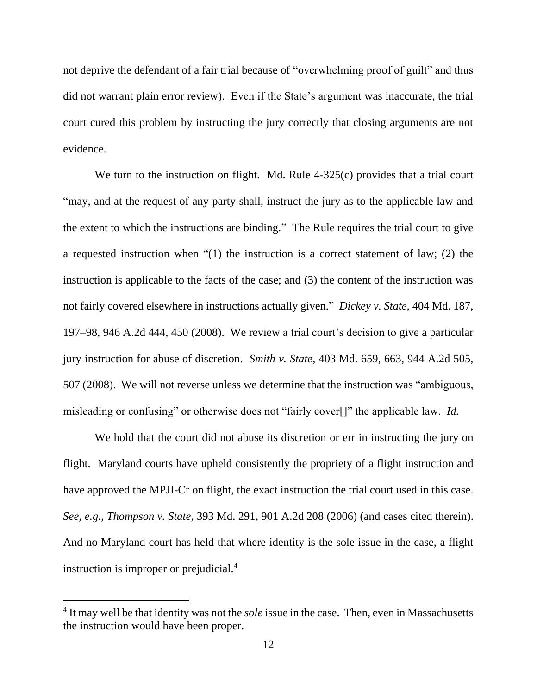not deprive the defendant of a fair trial because of "overwhelming proof of guilt" and thus did not warrant plain error review). Even if the State's argument was inaccurate, the trial court cured this problem by instructing the jury correctly that closing arguments are not evidence.

We turn to the instruction on flight. Md. Rule 4-325(c) provides that a trial court "may, and at the request of any party shall, instruct the jury as to the applicable law and the extent to which the instructions are binding." The Rule requires the trial court to give a requested instruction when "(1) the instruction is a correct statement of law; (2) the instruction is applicable to the facts of the case; and (3) the content of the instruction was not fairly covered elsewhere in instructions actually given." *Dickey v. State*, 404 Md. 187, 197–98, 946 A.2d 444, 450 (2008). We review a trial court's decision to give a particular jury instruction for abuse of discretion. *Smith v. State*, 403 Md. 659, 663, 944 A.2d 505, 507 (2008). We will not reverse unless we determine that the instruction was "ambiguous, misleading or confusing" or otherwise does not "fairly cover[]" the applicable law. *Id.*

We hold that the court did not abuse its discretion or err in instructing the jury on flight. Maryland courts have upheld consistently the propriety of a flight instruction and have approved the MPJI-Cr on flight, the exact instruction the trial court used in this case. *See, e.g.*, *Thompson v. State*, 393 Md. 291, 901 A.2d 208 (2006) (and cases cited therein). And no Maryland court has held that where identity is the sole issue in the case, a flight instruction is improper or prejudicial.<sup>4</sup>

<sup>4</sup> It may well be that identity was not the *sole* issue in the case. Then, even in Massachusetts the instruction would have been proper.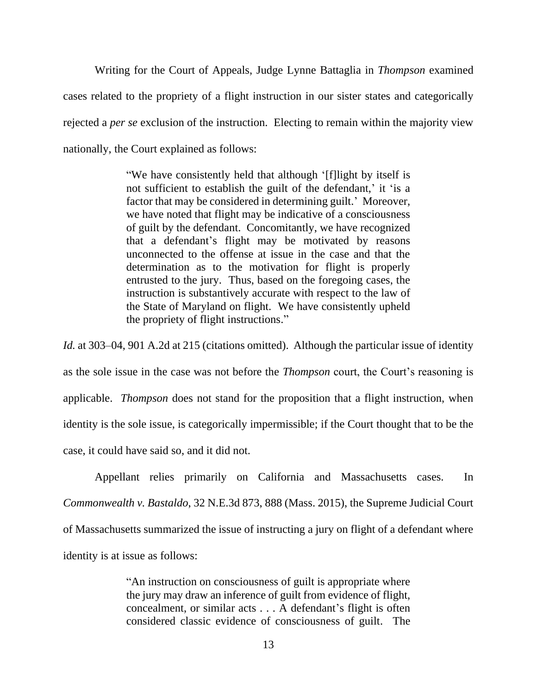Writing for the Court of Appeals, Judge Lynne Battaglia in *Thompson* examined cases related to the propriety of a flight instruction in our sister states and categorically rejected a *per se* exclusion of the instruction. Electing to remain within the majority view nationally, the Court explained as follows:

> "We have consistently held that although '[f]light by itself is not sufficient to establish the guilt of the defendant,' it 'is a factor that may be considered in determining guilt.' Moreover, we have noted that flight may be indicative of a consciousness of guilt by the defendant. Concomitantly, we have recognized that a defendant's flight may be motivated by reasons unconnected to the offense at issue in the case and that the determination as to the motivation for flight is properly entrusted to the jury. Thus, based on the foregoing cases, the instruction is substantively accurate with respect to the law of the State of Maryland on flight. We have consistently upheld the propriety of flight instructions."

*Id.* at 303–04, 901 A.2d at 215 (citations omitted). Although the particular issue of identity as the sole issue in the case was not before the *Thompson* court, the Court's reasoning is applicable. *Thompson* does not stand for the proposition that a flight instruction, when identity is the sole issue, is categorically impermissible; if the Court thought that to be the case, it could have said so, and it did not.

Appellant relies primarily on California and Massachusetts cases. In *Commonwealth v. Bastaldo*, 32 N.E.3d 873, 888 (Mass. 2015), the Supreme Judicial Court of Massachusetts summarized the issue of instructing a jury on flight of a defendant where identity is at issue as follows:

> "An instruction on consciousness of guilt is appropriate where the jury may draw an inference of guilt from evidence of flight, concealment, or similar acts . . . A defendant's flight is often considered classic evidence of consciousness of guilt. The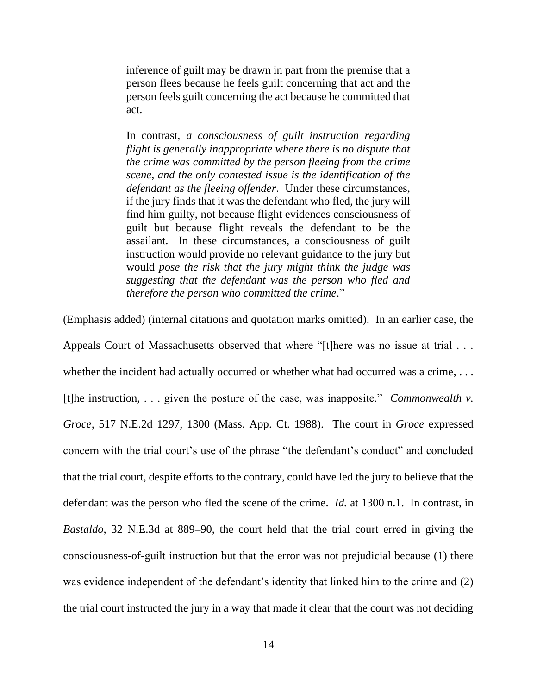inference of guilt may be drawn in part from the premise that a person flees because he feels guilt concerning that act and the person feels guilt concerning the act because he committed that act.

In contrast, *a consciousness of guilt instruction regarding flight is generally inappropriate where there is no dispute that the crime was committed by the person fleeing from the crime scene, and the only contested issue is the identification of the defendant as the fleeing offender*. Under these circumstances, if the jury finds that it was the defendant who fled, the jury will find him guilty, not because flight evidences consciousness of guilt but because flight reveals the defendant to be the assailant. In these circumstances, a consciousness of guilt instruction would provide no relevant guidance to the jury but would *pose the risk that the jury might think the judge was suggesting that the defendant was the person who fled and therefore the person who committed the crime*."

(Emphasis added) (internal citations and quotation marks omitted). In an earlier case, the

Appeals Court of Massachusetts observed that where "[t]here was no issue at trial . . . whether the incident had actually occurred or whether what had occurred was a crime, ... [t]he instruction, . . . given the posture of the case, was inapposite." *Commonwealth v. Groce*, 517 N.E.2d 1297, 1300 (Mass. App. Ct. 1988). The court in *Groce* expressed concern with the trial court's use of the phrase "the defendant's conduct" and concluded that the trial court, despite efforts to the contrary, could have led the jury to believe that the defendant was the person who fled the scene of the crime. *Id.* at 1300 n.1. In contrast, in *Bastaldo*, 32 N.E.3d at 889–90, the court held that the trial court erred in giving the consciousness-of-guilt instruction but that the error was not prejudicial because (1) there was evidence independent of the defendant's identity that linked him to the crime and (2) the trial court instructed the jury in a way that made it clear that the court was not deciding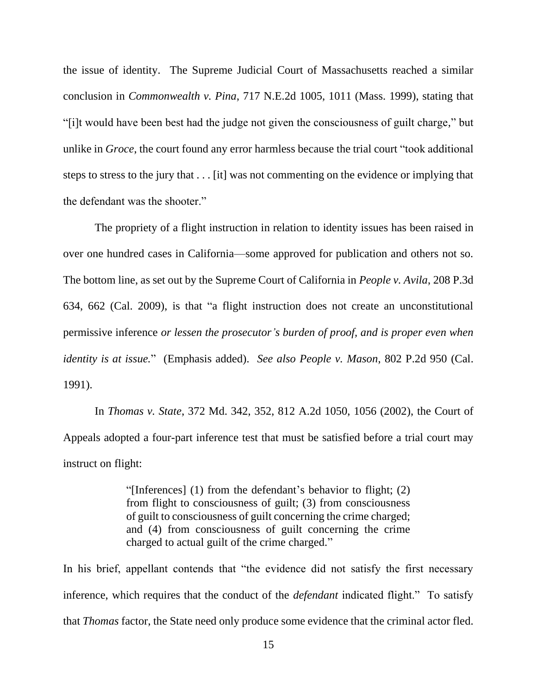the issue of identity. The Supreme Judicial Court of Massachusetts reached a similar conclusion in *Commonwealth v. Pina*, 717 N.E.2d 1005, 1011 (Mass. 1999), stating that "[i]t would have been best had the judge not given the consciousness of guilt charge," but unlike in *Groce*, the court found any error harmless because the trial court "took additional steps to stress to the jury that . . . [it] was not commenting on the evidence or implying that the defendant was the shooter."

The propriety of a flight instruction in relation to identity issues has been raised in over one hundred cases in California—some approved for publication and others not so. The bottom line, as set out by the Supreme Court of California in *People v. Avila*, 208 P.3d 634, 662 (Cal. 2009), is that "a flight instruction does not create an unconstitutional permissive inference *or lessen the prosecutor's burden of proof, and is proper even when identity is at issue.*" (Emphasis added). *See also People v. Mason*, 802 P.2d 950 (Cal. 1991).

In *Thomas v. State*, 372 Md. 342, 352, 812 A.2d 1050, 1056 (2002), the Court of Appeals adopted a four-part inference test that must be satisfied before a trial court may instruct on flight:

> "[Inferences] (1) from the defendant's behavior to flight; (2) from flight to consciousness of guilt; (3) from consciousness of guilt to consciousness of guilt concerning the crime charged; and (4) from consciousness of guilt concerning the crime charged to actual guilt of the crime charged."

In his brief, appellant contends that "the evidence did not satisfy the first necessary inference, which requires that the conduct of the *defendant* indicated flight." To satisfy that *Thomas* factor, the State need only produce some evidence that the criminal actor fled.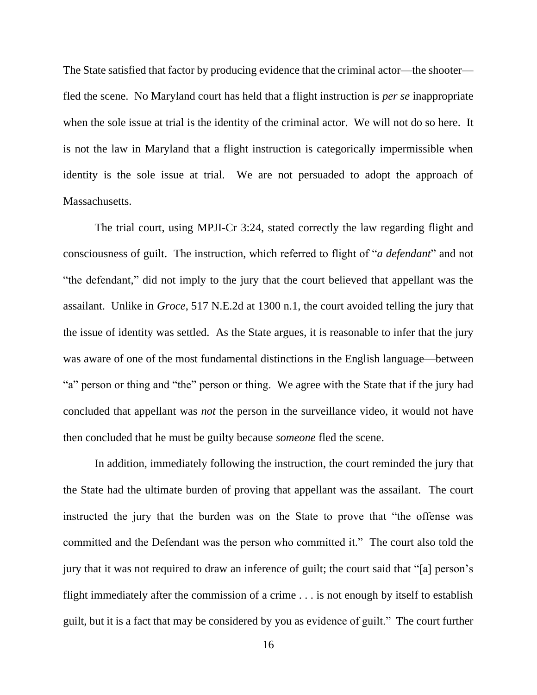The State satisfied that factor by producing evidence that the criminal actor—the shooter fled the scene. No Maryland court has held that a flight instruction is *per se* inappropriate when the sole issue at trial is the identity of the criminal actor. We will not do so here. It is not the law in Maryland that a flight instruction is categorically impermissible when identity is the sole issue at trial. We are not persuaded to adopt the approach of Massachusetts.

The trial court, using MPJI-Cr 3:24, stated correctly the law regarding flight and consciousness of guilt. The instruction, which referred to flight of "*a defendant*" and not "the defendant," did not imply to the jury that the court believed that appellant was the assailant. Unlike in *Groce*, 517 N.E.2d at 1300 n.1, the court avoided telling the jury that the issue of identity was settled. As the State argues, it is reasonable to infer that the jury was aware of one of the most fundamental distinctions in the English language—between "a" person or thing and "the" person or thing. We agree with the State that if the jury had concluded that appellant was *not* the person in the surveillance video, it would not have then concluded that he must be guilty because *someone* fled the scene.

In addition, immediately following the instruction, the court reminded the jury that the State had the ultimate burden of proving that appellant was the assailant. The court instructed the jury that the burden was on the State to prove that "the offense was committed and the Defendant was the person who committed it." The court also told the jury that it was not required to draw an inference of guilt; the court said that "[a] person's flight immediately after the commission of a crime . . . is not enough by itself to establish guilt, but it is a fact that may be considered by you as evidence of guilt." The court further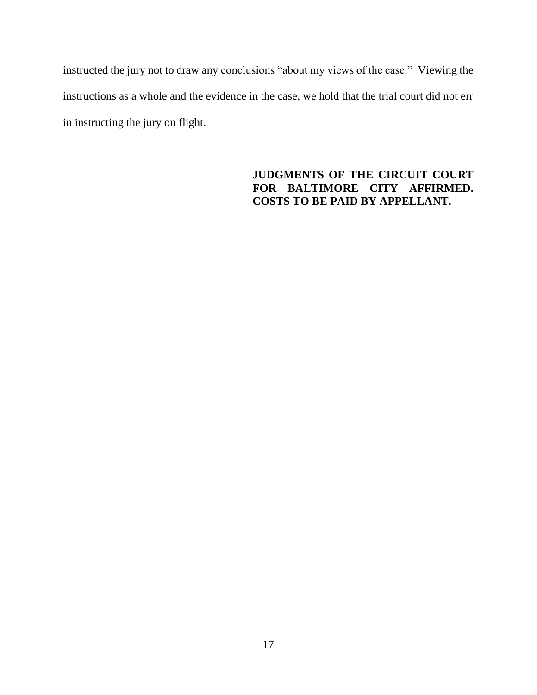instructed the jury not to draw any conclusions "about my views of the case." Viewing the instructions as a whole and the evidence in the case, we hold that the trial court did not err in instructing the jury on flight.

# **JUDGMENTS OF THE CIRCUIT COURT FOR BALTIMORE CITY AFFIRMED. COSTS TO BE PAID BY APPELLANT.**